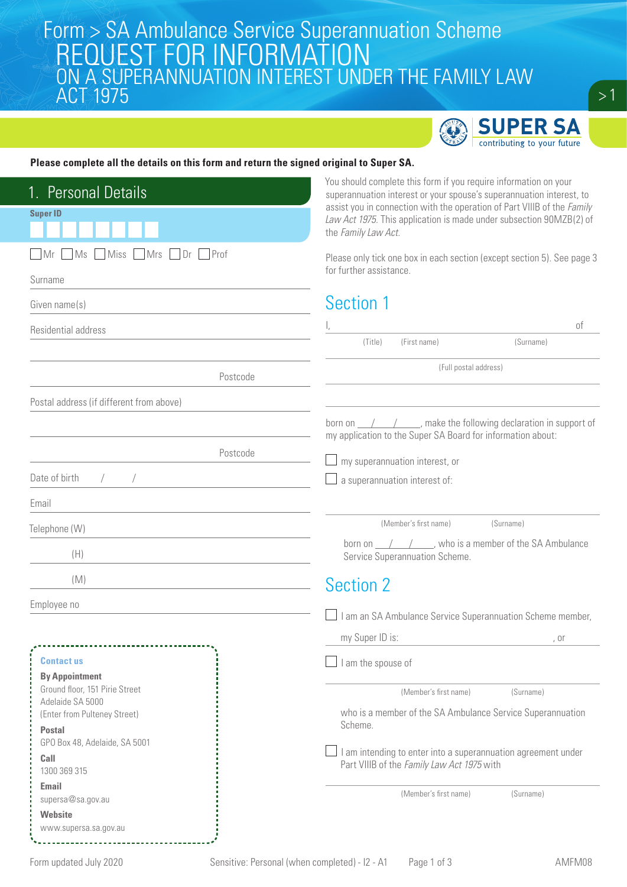# Form > SA Ambulance Service Superannuation Scheme<br>| REOUEST FOR INFORMATION REQUEST FOR INFORMATION ON A SUPERANNUATION INTEREST UNDER THE FAMILY LAW ACT 1975



 $\geq$  1  $^{\prime}$ 

### **Please complete all the details on this form and return the signed original to Super SA.**

| You should complete this form if you require information on your<br>1. Personal Details<br><b>Super ID</b><br>the Family Law Act. | superannuation interest or your spouse's superannuation interest, to<br>assist you in connection with the operation of Part VIIIB of the Family<br>Law Act 1975. This application is made under subsection 90MZB(2) of                                                                                                                                                                                                                                                                    |
|-----------------------------------------------------------------------------------------------------------------------------------|-------------------------------------------------------------------------------------------------------------------------------------------------------------------------------------------------------------------------------------------------------------------------------------------------------------------------------------------------------------------------------------------------------------------------------------------------------------------------------------------|
| $\sqrt{Mr}$ Ms<br>Miss Mrs Dr Prof                                                                                                | Please only tick one box in each section (except section 5). See page 3                                                                                                                                                                                                                                                                                                                                                                                                                   |
| Surname                                                                                                                           | for further assistance.                                                                                                                                                                                                                                                                                                                                                                                                                                                                   |
| Given name(s)                                                                                                                     | Section 1                                                                                                                                                                                                                                                                                                                                                                                                                                                                                 |
| Residential address                                                                                                               | оf                                                                                                                                                                                                                                                                                                                                                                                                                                                                                        |
|                                                                                                                                   | (First name)<br>(Title)<br>(Surname)                                                                                                                                                                                                                                                                                                                                                                                                                                                      |
| Postcode                                                                                                                          | (Full postal address)                                                                                                                                                                                                                                                                                                                                                                                                                                                                     |
| Postal address (if different from above)                                                                                          |                                                                                                                                                                                                                                                                                                                                                                                                                                                                                           |
|                                                                                                                                   | born on $\frac{1}{\sqrt{1-\frac{1}{\sqrt{1-\frac{1}{\sqrt{1-\frac{1}{\sqrt{1-\frac{1}{\sqrt{1-\frac{1}{\sqrt{1-\frac{1}{\sqrt{1-\frac{1}{\sqrt{1-\frac{1}{\sqrt{1-\frac{1}{\sqrt{1-\frac{1}{\sqrt{1-\frac{1}{\sqrt{1-\frac{1}{\sqrt{1-\frac{1}{\sqrt{1-\frac{1}{\sqrt{1-\frac{1}{\sqrt{1-\frac{1}{\sqrt{1-\frac{1}{\sqrt{1-\frac{1}{\sqrt{1-\frac{1}{\sqrt{1-\frac{1}{\sqrt{1-\frac{1}{\sqrt{1-\frac{1}{\sqrt{1-\frac{1}{$<br>my application to the Super SA Board for information about: |
| Postcode                                                                                                                          | my superannuation interest, or                                                                                                                                                                                                                                                                                                                                                                                                                                                            |
| Date of birth                                                                                                                     | a superannuation interest of:                                                                                                                                                                                                                                                                                                                                                                                                                                                             |
| Email                                                                                                                             |                                                                                                                                                                                                                                                                                                                                                                                                                                                                                           |
| Telephone (W)                                                                                                                     | (Member's first name)<br>(Surname)                                                                                                                                                                                                                                                                                                                                                                                                                                                        |
| (H)                                                                                                                               | born on $\angle$ / $\angle$ , who is a member of the SA Ambulance<br>Service Superannuation Scheme.                                                                                                                                                                                                                                                                                                                                                                                       |
| (M)                                                                                                                               | <b>Section 2</b>                                                                                                                                                                                                                                                                                                                                                                                                                                                                          |
| Employee no                                                                                                                       | $\Box$ I am an SA Ambulance Service Superannuation Scheme member,                                                                                                                                                                                                                                                                                                                                                                                                                         |
|                                                                                                                                   | my Super ID is:<br>, or                                                                                                                                                                                                                                                                                                                                                                                                                                                                   |
| <b>Contact us</b><br><b>By Appointment</b>                                                                                        | I am the spouse of                                                                                                                                                                                                                                                                                                                                                                                                                                                                        |
| Ground floor, 151 Pirie Street<br>Adelaide SA 5000                                                                                | (Member's first name)<br>(Surname)                                                                                                                                                                                                                                                                                                                                                                                                                                                        |
| (Enter from Pulteney Street)<br><b>Postal</b><br>GPO Box 48, Adelaide, SA 5001<br>Call<br>1300 369 315                            | who is a member of the SA Ambulance Service Superannuation<br>Scheme.                                                                                                                                                                                                                                                                                                                                                                                                                     |
|                                                                                                                                   | I am intending to enter into a superannuation agreement under<br>Part VIIIB of the Family Law Act 1975 with                                                                                                                                                                                                                                                                                                                                                                               |
| <b>Email</b><br>supersa@sa.gov.au                                                                                                 | (Member's first name)<br>(Surname)                                                                                                                                                                                                                                                                                                                                                                                                                                                        |
| <b>Website</b><br>www.supersa.sa.gov.au                                                                                           |                                                                                                                                                                                                                                                                                                                                                                                                                                                                                           |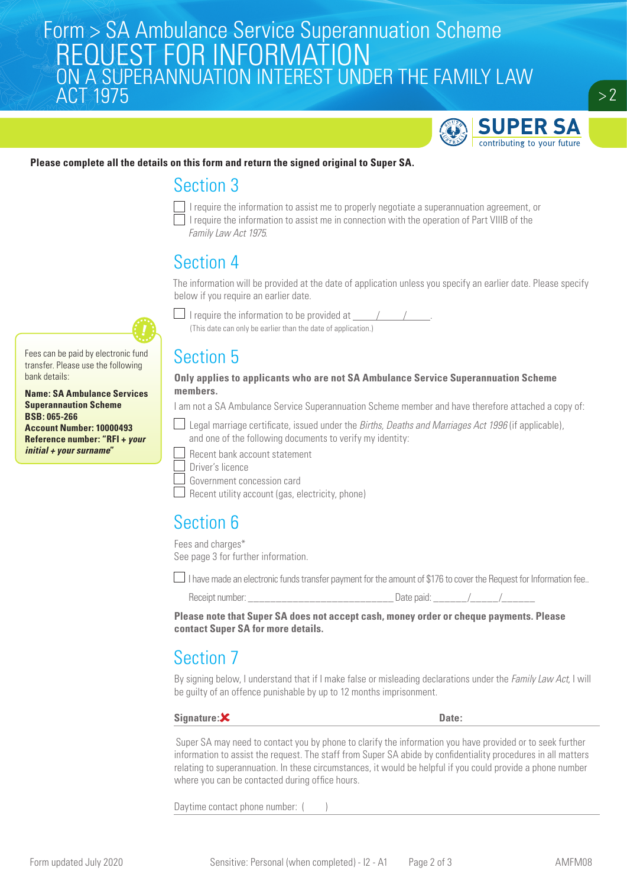# Form > SA Ambulance Service Superannuation Scheme<br>| REOUEST FOR INFORMATION REQUEST FOR INFORMATION ON A SUPERANNUATION INTEREST UNDER THE FAMILY LAW **ACTES**



### **Please complete all the details on this form and return the signed original to Super SA.**

## Section 3



I require the information to assist me to properly negotiate a superannuation agreement, or  $\Box$  I require the information to assist me in connection with the operation of Part VIIIB of the *Family Law Act 1975*.

# Section 4

The information will be provided at the date of application unless you specify an earlier date. Please specify below if you require an earlier date.

Fees can be paid by electronic fund transfer. Please use the following bank details:

**Name: SA Ambulance Services Superannaution Scheme BSB: 065-266 Account Number: 10000493 Reference number: "RFI +** *your initial + your surname***"**



 $\Box$  I require the information to be provided at  $\Box$ (This date can only be earlier than the date of application.)

# Section 5

**Only applies to applicants who are not SA Ambulance Service Superannuation Scheme members.**

I am not a SA Ambulance Service Superannuation Scheme member and have therefore attached a copy of:

- Legal marriage certificate, issued under the *Births, Deaths and Marriages Act 1996* (if applicable), and one of the following documents to verify my identity:
	- Recent bank account statement
- Driver's licence
- Government concession card
- $\Box$  Recent utility account (gas, electricity, phone)

## Section 6

Fees and charges\* See page 3 for further information.

I have made an electronic funds transfer payment for the amount of \$176 to cover the Request for Information fee..

|  | leceipt number |
|--|----------------|
|--|----------------|

Receipt number: \_\_\_\_\_\_\_\_\_\_\_\_\_\_\_\_\_\_\_\_\_\_\_\_\_\_ Date paid: \_\_\_\_\_\_/\_\_\_\_\_/\_\_\_\_\_\_

**Please note that Super SA does not accept cash, money order or cheque payments. Please contact Super SA for more details.**

# Section 7

By signing below, I understand that if I make false or misleading declarations under the *Family Law Act,* I will be guilty of an offence punishable by up to 12 months imprisonment.

## Signature:  $\mathsf{X}$  **Date:**

 Super SA may need to contact you by phone to clarify the information you have provided or to seek further information to assist the request. The staff from Super SA abide by confidentiality procedures in all matters relating to superannuation. In these circumstances, it would be helpful if you could provide a phone number where you can be contacted during office hours.

Daytime contact phone number: